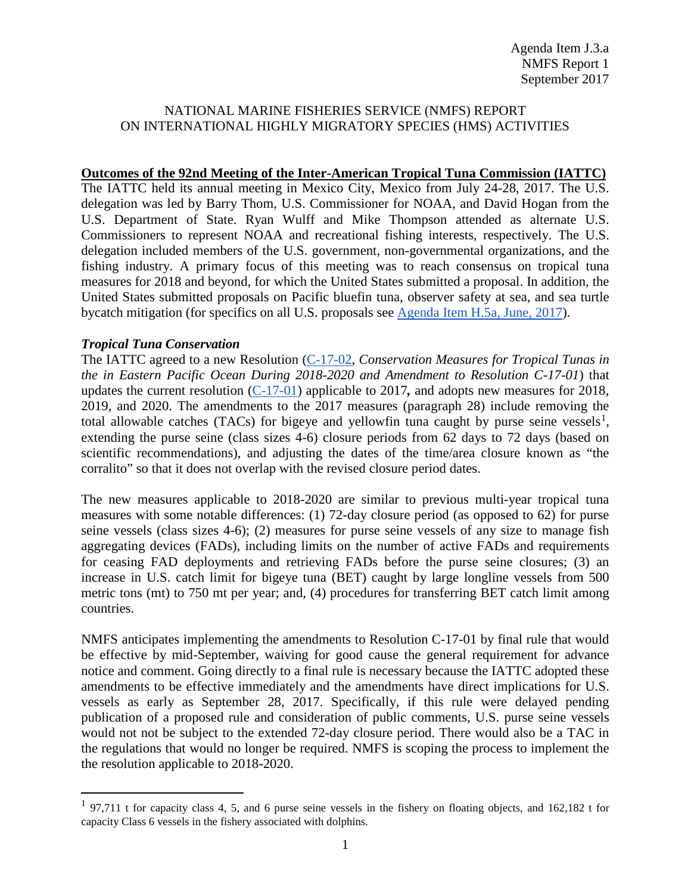### NATIONAL MARINE FISHERIES SERVICE (NMFS) REPORT ON INTERNATIONAL HIGHLY MIGRATORY SPECIES (HMS) ACTIVITIES

#### **Outcomes of the 92nd Meeting of the Inter-American Tropical Tuna Commission (IATTC)**

The IATTC held its annual meeting in Mexico City, Mexico from July 24-28, 2017. The U.S. delegation was led by Barry Thom, U.S. Commissioner for NOAA, and David Hogan from the U.S. Department of State. Ryan Wulff and Mike Thompson attended as alternate U.S. Commissioners to represent NOAA and recreational fishing interests, respectively. The U.S. delegation included members of the U.S. government, non-governmental organizations, and the fishing industry. A primary focus of this meeting was to reach consensus on tropical tuna measures for 2018 and beyond, for which the United States submitted a proposal. In addition, the United States submitted proposals on Pacific bluefin tuna, observer safety at sea, and sea turtle bycatch mitigation (for specifics on all U.S. proposals see [Agenda Item H.5a, June, 2017\)](http://www.pcouncil.org/wp-content/uploads/2017/06/H5a_Sup_NMFS_Rpt_Intl_JUNE2017BB.pdf).

#### *Tropical Tuna Conservation*

The IATTC agreed to a new Resolution [\(C-17-02,](https://www.iattc.org/PDFFiles2/Resolutions/C-17-02-Tuna-conservation-in-the-EPO-2018-2020-and-amendment-to-Res.-C-17-01.pdf) *[Conservation](https://www.iattc.org/PDFFiles2/Resolutions/C-17-02-Tuna-conservation-in-the-EPO-2018-2020-and-amendment-to-Res.-C-17-01.pdf) [Measures](https://www.iattc.org/PDFFiles2/Resolutions/C-17-02-Tuna-conservation-in-the-EPO-2018-2020-and-amendment-to-Res.-C-17-01.pdf) [for](https://www.iattc.org/PDFFiles2/Resolutions/C-17-02-Tuna-conservation-in-the-EPO-2018-2020-and-amendment-to-Res.-C-17-01.pdf) [Tropical](https://www.iattc.org/PDFFiles2/Resolutions/C-17-02-Tuna-conservation-in-the-EPO-2018-2020-and-amendment-to-Res.-C-17-01.pdf) [Tunas](https://www.iattc.org/PDFFiles2/Resolutions/C-17-02-Tuna-conservation-in-the-EPO-2018-2020-and-amendment-to-Res.-C-17-01.pdf) [in](https://www.iattc.org/PDFFiles2/Resolutions/C-17-02-Tuna-conservation-in-the-EPO-2018-2020-and-amendment-to-Res.-C-17-01.pdf) [the](https://www.iattc.org/PDFFiles2/Resolutions/C-17-02-Tuna-conservation-in-the-EPO-2018-2020-and-amendment-to-Res.-C-17-01.pdf) [in](https://www.iattc.org/PDFFiles2/Resolutions/C-17-02-Tuna-conservation-in-the-EPO-2018-2020-and-amendment-to-Res.-C-17-01.pdf) E[astern](https://www.iattc.org/PDFFiles2/Resolutions/C-17-02-Tuna-conservation-in-the-EPO-2018-2020-and-amendment-to-Res.-C-17-01.pdf) [Pacific](https://www.iattc.org/PDFFiles2/Resolutions/C-17-02-Tuna-conservation-in-the-EPO-2018-2020-and-amendment-to-Res.-C-17-01.pdf) [Ocean](https://www.iattc.org/PDFFiles2/Resolutions/C-17-02-Tuna-conservation-in-the-EPO-2018-2020-and-amendment-to-Res.-C-17-01.pdf) [During](https://www.iattc.org/PDFFiles2/Resolutions/C-17-02-Tuna-conservation-in-the-EPO-2018-2020-and-amendment-to-Res.-C-17-01.pdf) [2018-2020](https://www.iattc.org/PDFFiles2/Resolutions/C-17-02-Tuna-conservation-in-the-EPO-2018-2020-and-amendment-to-Res.-C-17-01.pdf) [and](https://www.iattc.org/PDFFiles2/Resolutions/C-17-02-Tuna-conservation-in-the-EPO-2018-2020-and-amendment-to-Res.-C-17-01.pdf) [Amendment](https://www.iattc.org/PDFFiles2/Resolutions/C-17-02-Tuna-conservation-in-the-EPO-2018-2020-and-amendment-to-Res.-C-17-01.pdf) [to](https://www.iattc.org/PDFFiles2/Resolutions/C-17-02-Tuna-conservation-in-the-EPO-2018-2020-and-amendment-to-Res.-C-17-01.pdf) [Resolution](https://www.iattc.org/PDFFiles2/Resolutions/C-17-02-Tuna-conservation-in-the-EPO-2018-2020-and-amendment-to-Res.-C-17-01.pdf) [C-17-01](https://www.iattc.org/PDFFiles2/Resolutions/C-17-02-Tuna-conservation-in-the-EPO-2018-2020-and-amendment-to-Res.-C-17-01.pdf)*) that updates the current resolution [\(C-17-01\)](https://www.iattc.org/PDFFiles2/Resolutions/C-17-01-Tuna-conservation-2017.pdf) applicable to 2017*,* and adopts new measures for 2018, 2019, and 2020. The amendments to the 2017 measures (paragraph 28) include removing the total allowable catches (TACs) for bigeye and yellowfin tuna caught by purse seine vessels<sup>[1](#page-0-0)</sup>, extending the purse seine (class sizes 4-6) closure periods from 62 days to 72 days (based on scientific recommendations), and adjusting the dates of the time/area closure known as "the corralito" so that it does not overlap with the revised closure period dates.

The new measures applicable to 2018-2020 are similar to previous multi-year tropical tuna measures with some notable differences: (1) 72-day closure period (as opposed to 62) for purse seine vessels (class sizes 4-6); (2) measures for purse seine vessels of any size to manage fish aggregating devices (FADs), including limits on the number of active FADs and requirements for ceasing FAD deployments and retrieving FADs before the purse seine closures; (3) an increase in U.S. catch limit for bigeye tuna (BET) caught by large longline vessels from 500 metric tons (mt) to 750 mt per year; and, (4) procedures for transferring BET catch limit among countries.

NMFS anticipates implementing the amendments to Resolution C-17-01 by final rule that would be effective by mid-September, waiving for good cause the general requirement for advance notice and comment. Going directly to a final rule is necessary because the IATTC adopted these amendments to be effective immediately and the amendments have direct implications for U.S. vessels as early as September 28, 2017. Specifically, if this rule were delayed pending publication of a proposed rule and consideration of public comments, U.S. purse seine vessels would not not be subject to the extended 72-day closure period. There would also be a TAC in the regulations that would no longer be required. NMFS is scoping the process to implement the the resolution applicable to 2018-2020.

<span id="page-0-0"></span><sup>&</sup>lt;sup>1</sup> 97,711 t for capacity class 4, 5, and 6 purse seine vessels in the fishery on floating objects, and 162,182 t for capacity Class 6 vessels in the fishery associated with dolphins.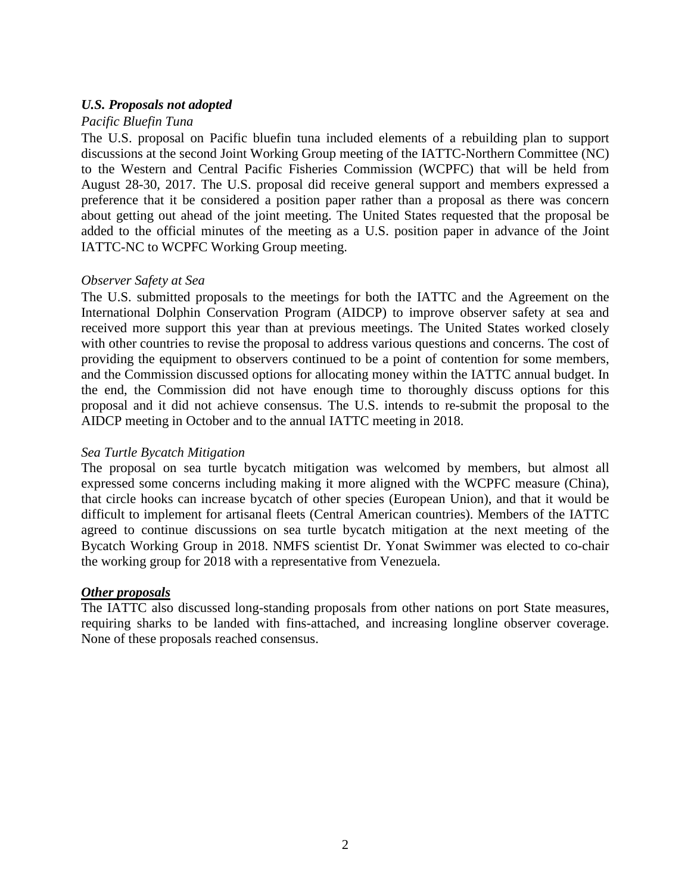# *U.S. Proposals not adopted*

### *Pacific Bluefin Tuna*

The U.S. proposal on Pacific bluefin tuna included elements of a rebuilding plan to support discussions at the second Joint Working Group meeting of the IATTC-Northern Committee (NC) to the Western and Central Pacific Fisheries Commission (WCPFC) that will be held from August 28-30, 2017. The U.S. proposal did receive general support and members expressed a preference that it be considered a position paper rather than a proposal as there was concern about getting out ahead of the joint meeting. The United States requested that the proposal be added to the official minutes of the meeting as a U.S. position paper in advance of the Joint IATTC-NC to WCPFC Working Group meeting.

# *Observer Safety at Sea*

The U.S. submitted proposals to the meetings for both the IATTC and the Agreement on the International Dolphin Conservation Program (AIDCP) to improve observer safety at sea and received more support this year than at previous meetings. The United States worked closely with other countries to revise the proposal to address various questions and concerns. The cost of providing the equipment to observers continued to be a point of contention for some members, and the Commission discussed options for allocating money within the IATTC annual budget. In the end, the Commission did not have enough time to thoroughly discuss options for this proposal and it did not achieve consensus. The U.S. intends to re-submit the proposal to the AIDCP meeting in October and to the annual IATTC meeting in 2018.

# *Sea Turtle Bycatch Mitigation*

The proposal on sea turtle bycatch mitigation was welcomed by members, but almost all expressed some concerns including making it more aligned with the WCPFC measure (China), that circle hooks can increase bycatch of other species (European Union), and that it would be difficult to implement for artisanal fleets (Central American countries). Members of the IATTC agreed to continue discussions on sea turtle bycatch mitigation at the next meeting of the Bycatch Working Group in 2018. NMFS scientist Dr. Yonat Swimmer was elected to co-chair the working group for 2018 with a representative from Venezuela.

# *Other proposals*

The IATTC also discussed long-standing proposals from other nations on port State measures, requiring sharks to be landed with fins-attached, and increasing longline observer coverage. None of these proposals reached consensus.